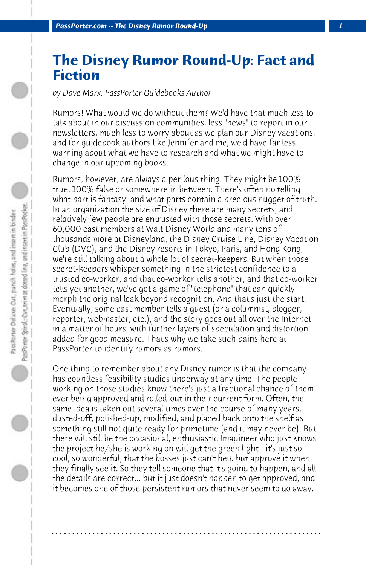## **The Disney Rumor Round-Up: Fact and Fiction**

*by Dave Marx, PassPorter Guidebooks Author*

Rumors! What would we do without them? We'd have that much less to talk about in our discussion communities, less "news" to report in our newsletters, much less to worry about as we plan our Disney vacations, and for guidebook authors like Jennifer and me, we'd have far less warning about what we have to research and what we might have to change in our upcoming books.

Rumors, however, are always a perilous thing. They might be 100% true, 100% false or somewhere in between. There's often no telling what part is fantasy, and what parts contain a precious nugget of truth. In an organization the size of Disney there are many secrets, and relatively few people are entrusted with those secrets. With over 60,000 cast members at Walt Disney World and many tens of thousands more at Disneyland, the Disney Cruise Line, Disney Vacation Club (DVC), and the Disney resorts in Tokyo, Paris, and Hong Kong, we're still talking about a whole lot of secret-keepers. But when those secret-keepers whisper something in the strictest confidence to a trusted co-worker, and that co-worker tells another, and that co-worker tells yet another, we've got a game of "telephone" that can quickly morph the original leak beyond recognition. And that's just the start. Eventually, some cast member tells a guest (or a columnist, blogger, reporter, webmaster, etc.), and the story goes out all over the Internet in a matter of hours, with further layers of speculation and distortion added for good measure. That's why we take such pains here at PassPorter to identify rumors as rumors.

One thing to remember about any Disney rumor is that the company has countless feasibility studies underway at any time. The people working on those studies know there's just a fractional chance of them ever being approved and rolled-out in their current form. Often, the same idea is taken out several times over the course of many years, dusted-off, polished-up, modified, and placed back onto the shelf as something still not quite ready for primetime (and it may never be). But there will still be the occasional, enthusiastic Imagineer who just knows the project he/she is working on will get the green light - it's just so cool, so wonderful, that the bosses just can't help but approve it when they finally see it. So they tell someone that it's going to happen, and all the details are correct... but it just doesn't happen to get approved, and it becomes one of those persistent rumors that never seem to go away.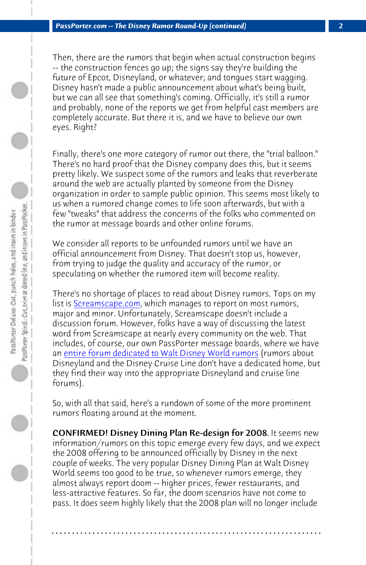*PassPorter.com -- The Disney Rumor Round-Up (continued) 2*

Then, there are the rumors that begin when actual construction begins -- the construction fences go up; the signs say they're building the future of Epcot, Disneyland, or whatever; and tongues start wagging. Disney hasn't made a public announcement about what's being built, but we can all see that something's coming. Officially, it's still a rumor and probably, none of the reports we get from helpful cast members are completely accurate. But there it is, and we have to believe our own eyes. Right?

Finally, there's one more category of rumor out there, the "trial balloon." There's no hard proof that the Disney company does this, but it seems pretty likely. We suspect some of the rumors and leaks that reverberate ar[ound the web are actually planted by someone from th](http://www.passporterboards.com/forums/going-behind-scenes-trivia-rumors)e Disney organization in order to sample public opinion. This seems most likely to us when a rumored change comes to life soon afterwards, but with a few "tweaks" that address the concerns of the folks who commented on the rumor at message boards and other online forums.

We consider all reports to be unfounded rumors until we have an official announcement from Disney. That doesn't stop us, however, from trying to judge the quality and accuracy of the rumor, or speculating on whether the rumored item will become reality.

There's no shortage of places to read about Disney rumors. Tops on my list is Screamscape.com, which manages to report on most rumors, major and minor. Unfortunately, Screamscape doesn't include a discussion forum. However, folks have a way of discussing the latest word from Screamscape at nearly every community on the web. That includes, of course, our own PassPorter message boards, where we have an entire forum dedicated to Walt Disney World rumors (rumors about Disneyland and the Disney Cruise Line don't have a dedicated home, but they find their way into the appropriate Disneyland and cruise line forums).

So, with all that said, here's a rundown of some of the more prominent rumors floating around at the moment.

CONFIRMED! Disney Dining Plan Re-design for 2008. It seems new information/rumors on this topic emerge every few days, and we expect the 2008 offering to be announced officially by Disney in the next couple of weeks. The very popular Disney Dining Plan at Walt Disney World seems too good to be true, so whenever rumors emerge, they almost always report doom -- higher prices, fewer restaurants, and less-attractive features. So far, the doom scenarios have not come to pass. It does seem highly likely that the 2008 plan will no longer include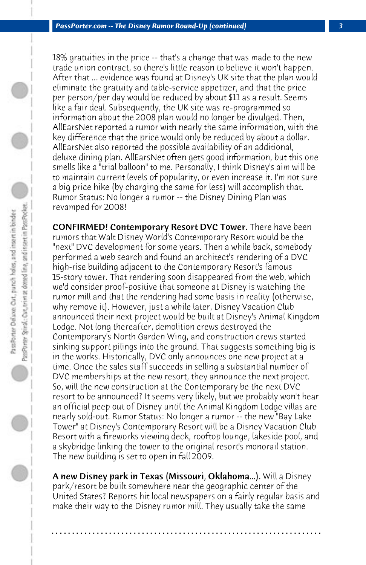18% gratuities in the price -- that's a change that was made to the new trade union contract, so there's little reason to believe it won't happen. After that ... evidence was found at Disney's UK site that the plan would eliminate the gratuity and table-service appetizer, and that the price per person/per day would be reduced by about \$11 as a result. Seems like a fair deal. Subsequently, the UK site was re-programmed so information about the 2008 plan would no longer be divulged. Then, AllEarsNet reported a rumor with nearly the same information, with the key difference that the price would only be reduced by about a dollar. AllEarsNet also reported the possible availability of an additional, deluxe dining plan. AllEarsNet often gets good information, but this one smells like a "trial balloon" to me. Personally, I think Disney's aim will be to maintain current levels of popularity, or even increase it. I'm not sure a big price hike (by charging the same for less) will accomplish that. Rumor Status: No longer a rumor -- the Disney Dining Plan was revamped for 2008!

CONFIRMED! Contemporary Resort DVC Tower. There have been rumors that Walt Disney World's Contemporary Resort would be the "next" DVC development for some years. Then a while back, somebody performed a web search and found an architect's rendering of a DVC high-rise building adjacent to the Contemporary Resort's famous 15-story tower. That rendering soon disappeared from the web, which we'd consider proof-positive that someone at Disney is watching the rumor mill and that the rendering had some basis in reality (otherwise, why remove it). However, just a while later, Disney Vacation Club announced their next project would be built at Disney's Animal Kingdom Lodge. Not long thereafter, demolition crews destroyed the Contemporary's North Garden Wing, and construction crews started sinking support pilings into the ground. That suggests something big is in the works. Historically, DVC only announces one new project at a time. Once the sales staff succeeds in selling a substantial number of DVC memberships at the new resort, they announce the next project. So, will the new construction at the Contemporary be the next DVC resort to be announced? It seems very likely, but we probably won't hear an official peep out of Disney until the Animal Kingdom Lodge villas are nearly sold-out. Rumor Status: No longer a rumor -- the new "Bay Lake Tower" at Disney's Contemporary Resort will be a Disney Vacation Club Resort with a fireworks viewing deck, rooftop lounge, lakeside pool, and a skybridge linking the tower to the original resort's monorail station. The new building is set to open in fall 2009.

A new Disney park in Texas (Missouri, Oklahoma...). Will a Disney park/resort be built somewhere near the geographic center of the United States? Reports hit local newspapers on a fairly regular basis and make their way to the Disney rumor mill. They usually take the same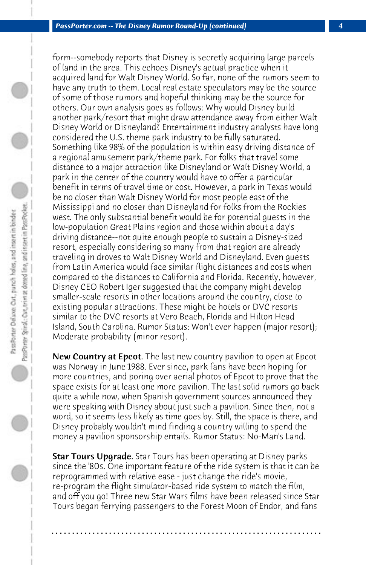form--somebody reports that Disney is secretly acquiring large parcels of land in the area. This echoes Disney's actual practice when it acquired land for Walt Disney World. So far, none of the rumors seem to have any truth to them. Local real estate speculators may be the source of some of those rumors and hopeful thinking may be the source for others. Our own analysis goes as follows: Why would Disney build another park/resort that might draw attendance away from either Walt Disney World or Disneyland? Entertainment industry analysts have long considered the U.S. theme park industry to be fully saturated. Something like 98% of the population is within easy driving distance of a regional amusement park/theme park. For folks that travel some distance to a major attraction like Disneyland or Walt Disney World, a park in the center of the country would have to offer a particular benefit in terms of travel time or cost. However, a park in Texas would be no closer than Walt Disney World for most people east of the Mississippi and no closer than Disneyland for folks from the Rockies west. The only substantial benefit would be for potential guests in the low-population Great Plains region and those within about a day's driving distance--not quite enough people to sustain a Disney-sized resort, especially considering so many from that region are already traveling in droves to Walt Disney World and Disneyland. Even guests from Latin America would face similar flight distances and costs when compared to the distances to California and Florida. Recently, however, Disney CEO Robert Iger suggested that the company might develop smaller-scale resorts in other locations around the country, close to existing popular attractions. These might be hotels or DVC resorts similar to the DVC resorts at Vero Beach, Florida and Hilton Head Island, South Carolina. Rumor Status: Won't ever happen (major resort); Moderate probability (minor resort).

New Country at Epcot. The last new country pavilion to open at Epcot was Norway in June 1988. Ever since, park fans have been hoping for more countries, and poring over aerial photos of Epcot to prove that the space exists for at least one more pavilion. The last solid rumors go back quite a while now, when Spanish government sources announced they were speaking with Disney about just such a pavilion. Since then, not a word, so it seems less likely as time goes by. Still, the space is there, and Disney probably wouldn't mind finding a country willing to spend the money a pavilion sponsorship entails. Rumor Status: No-Man's Land.

**Star Tours Upgrade.** Star Tours has been operating at Disney parks since the '80s. One important feature of the ride system is that it can be reprogrammed with relative ease - just change the ride's movie, re-program the flight simulator-based ride system to match the film, and off you go! Three new Star Wars films have been released since Star Tours began ferrying passengers to the Forest Moon of Endor, and fans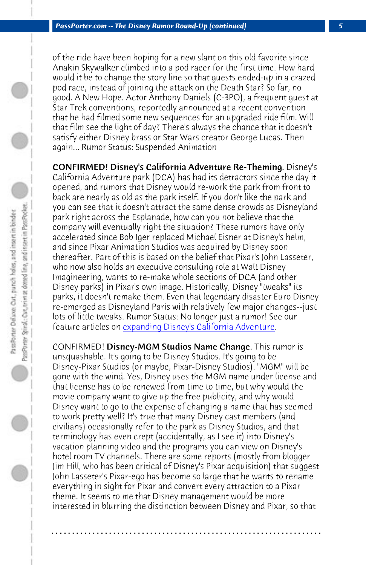*PassPorter.com -- The Disney Rumor Round-Up (continued) 5*

of the ride have been hoping for a new slant on this old favorite since Anakin Skywalker climbed into a pod racer for the first time. How hard would it be to change the story line so that guests ended-up in a crazed pod race, instead of joining the attack on the Death Star? So far, no good. A New Hope. Actor Anthony Daniels (C-3PO), a frequent guest at Star Trek conventions, reportedly announced at a recent convention that he had filmed some new sequences for an upgraded ride film. Will that film see the light of day? There's always the chance that it doesn't satisfy either Disney brass or Star Wars creator George Lucas. Then again... Rumor Status: Suspended Animation

CONFIRMED! Di[sney's California Adventure Re-Themin](http://www.passporter.com/articles/expanding-disneys-california-adventure.asp)g. Disney's California Adventure park (DCA) has had its detractors since the day it opened, and rumors that Disney would re-work the park from front to back are nearly as old as the park itself. If you don't like the park and you can see that it doesn't attract the same dense crowds as Disneyland park right across the Esplanade, how can you not believe that the company will eventually right the situation? These rumors have only accelerated since Bob Iger replaced Michael Eisner at Disney's helm, and since Pixar Animation Studios was acquired by Disney soon thereafter. Part of this is based on the belief that Pixar's John Lasseter, who now also holds an executive consulting role at Walt Disney Imagineering, wants to re-make whole sections of DCA (and other Disney parks) in Pixar's own image. Historically, Disney "tweaks" its parks, it doesn't remake them. Even that legendary disaster Euro Disney re-emerged as Disneyland Paris with relatively few major changes--just lots of little tweaks. Rumor Status: No longer just a rumor! See our feature articles on expanding Disney's California Adventure.

CONFIRMED! Disney-MGM Studios Name Change. This rumor is unsquashable. It's going to be Disney Studios. It's going to be Disney-Pixar Studios (or maybe, Pixar-Disney Studios). "MGM" will be gone with the wind. Yes, Disney uses the MGM name under license and that license has to be renewed from time to time, but why would the movie company want to give up the free publicity, and why would Disney want to go to the expense of changing a name that has seemed to work pretty well? It's true that many Disney cast members (and civilians) occasionally refer to the park as Disney Studios, and that terminology has even crept (accidentally, as I see it) into Disney's vacation planning video and the programs you can view on Disney's hotel room TV channels. There are some reports (mostly from blogger Jim Hill, who has been critical of Disney's Pixar acquisition) that suggest John Lasseter's Pixar-ego has become so large that he wants to rename everything in sight for Pixar and convert every attraction to a Pixar theme. It seems to me that Disney management would be more interested in blurring the distinction between Disney and Pixar, so that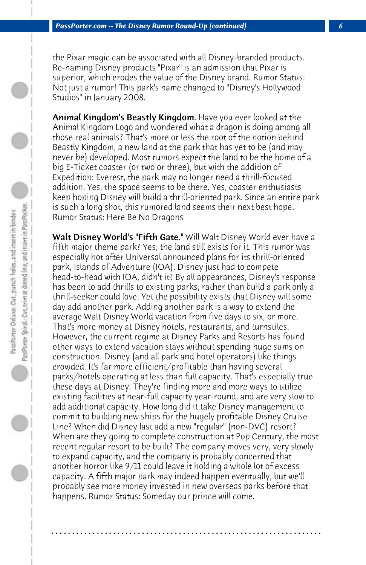the Pixar magic can be associated with all Disney-branded products. Re-naming Disney products "Pixar" is an admission that Pixar is superior, which erodes the value of the Disney brand. Rumor Status: Not just a rumor! This park's name changed to "Disney's Hollywood Studios" in January 2008.

Animal Kingdom's Beastly Kingdom. Have you ever looked at the Animal Kingdom Logo and wondered what a dragon is doing among all those real animals? That's more or less the root of the notion behind Beastly Kingdom, a new land at the park that has yet to be (and may never be) developed. Most rumors expect the land to be the home of a big E-Ticket coaster (or two or three), but with the addition of Expedition: Everest, the park may no longer need a thrill-focused addition. Yes, the space seems to be there. Yes, coaster enthusiasts keep hoping Disney will build a thrill-oriented park. Since an entire park is such a long shot, this rumored land seems their next best hope. Rumor Status: Here Be No Dragons

Walt Disney World's "Fifth Gate." Will Walt Disney World ever have a fifth major theme park? Yes, the land still exists for it. This rumor was especially hot after Universal announced plans for its thrill-oriented park, Islands of Adventure (IOA). Disney just had to compete head-to-head with IOA, didn't it? By all appearances, Disney's response has been to add thrills to existing parks, rather than build a park only a thrill-seeker could love. Yet the possibility exists that Disney will some day add another park. Adding another park is a way to extend the average Walt Disney World vacation from five days to six, or more. That's more money at Disney hotels, restaurants, and turnstiles. However, the current regime at Disney Parks and Resorts has found other ways to extend vacation stays without spending huge sums on construction. Disney (and all park and hotel operators) like things crowded. It's far more efficient/profitable than having several parks/hotels operating at less than full capacity. That's especially true these days at Disney. They're finding more and more ways to utilize existing facilities at near-full capacity year-round, and are very slow to add additional capacity. How long did it take Disney management to commit to building new ships for the hugely profitable Disney Cruise Line? When did Disney last add a new "regular" (non-DVC) resort? When are they going to complete construction at Pop Century, the most recent regular resort to be built? The company moves very, very slowly to expand capacity, and the company is probably concerned that another horror like 9/11 could leave it holding a whole lot of excess capacity. A fifth major park may indeed happen eventually, but we'll probably see more money invested in new overseas parks before that happens. Rumor Status: Someday our prince will come.